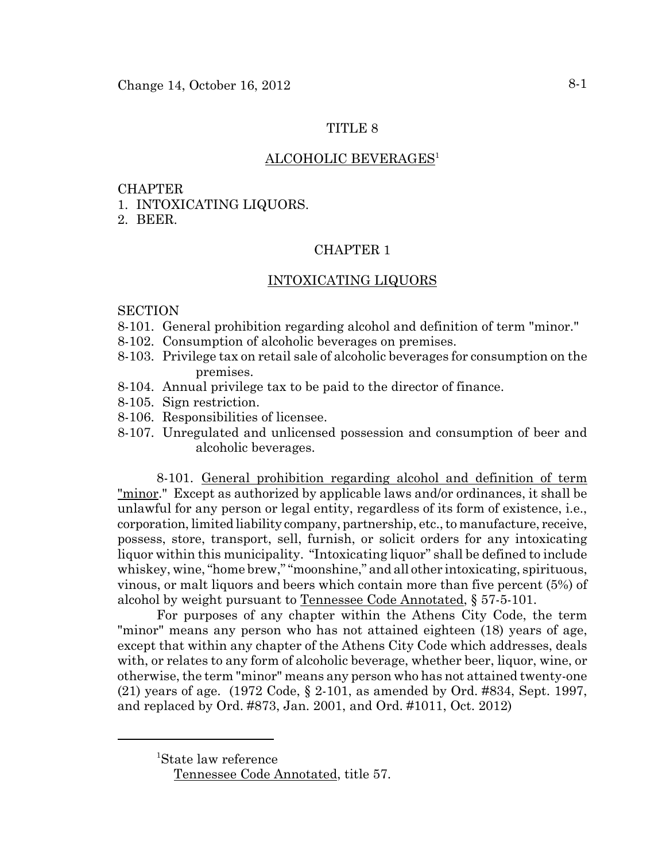# TITLE 8

### ALCOHOLIC BEVERAGES<sup>1</sup>

#### CHAPTER

1. INTOXICATING LIQUORS.

2. BEER.

#### CHAPTER 1

### INTOXICATING LIQUORS

#### **SECTION**

- 8-101. General prohibition regarding alcohol and definition of term "minor."
- 8-102. Consumption of alcoholic beverages on premises.
- 8-103. Privilege tax on retail sale of alcoholic beverages for consumption on the premises.
- 8-104. Annual privilege tax to be paid to the director of finance.
- 8-105. Sign restriction.
- 8-106. Responsibilities of licensee.
- 8-107. Unregulated and unlicensed possession and consumption of beer and alcoholic beverages.

8-101. General prohibition regarding alcohol and definition of term "minor." Except as authorized by applicable laws and/or ordinances, it shall be unlawful for any person or legal entity, regardless of its form of existence, i.e., corporation, limited liability company, partnership, etc., to manufacture, receive, possess, store, transport, sell, furnish, or solicit orders for any intoxicating liquor within this municipality. "Intoxicating liquor" shall be defined to include whiskey, wine, "home brew," "moonshine," and all other intoxicating, spirituous, vinous, or malt liquors and beers which contain more than five percent (5%) of alcohol by weight pursuant to Tennessee Code Annotated, § 57-5-101.

For purposes of any chapter within the Athens City Code, the term "minor" means any person who has not attained eighteen (18) years of age, except that within any chapter of the Athens City Code which addresses, deals with, or relates to any form of alcoholic beverage, whether beer, liquor, wine, or otherwise, the term "minor" means any person who has not attained twenty-one (21) years of age. (1972 Code, § 2-101, as amended by Ord. #834, Sept. 1997, and replaced by Ord. #873, Jan. 2001, and Ord. #1011, Oct. 2012)

<sup>1</sup> State law reference

Tennessee Code Annotated, title 57.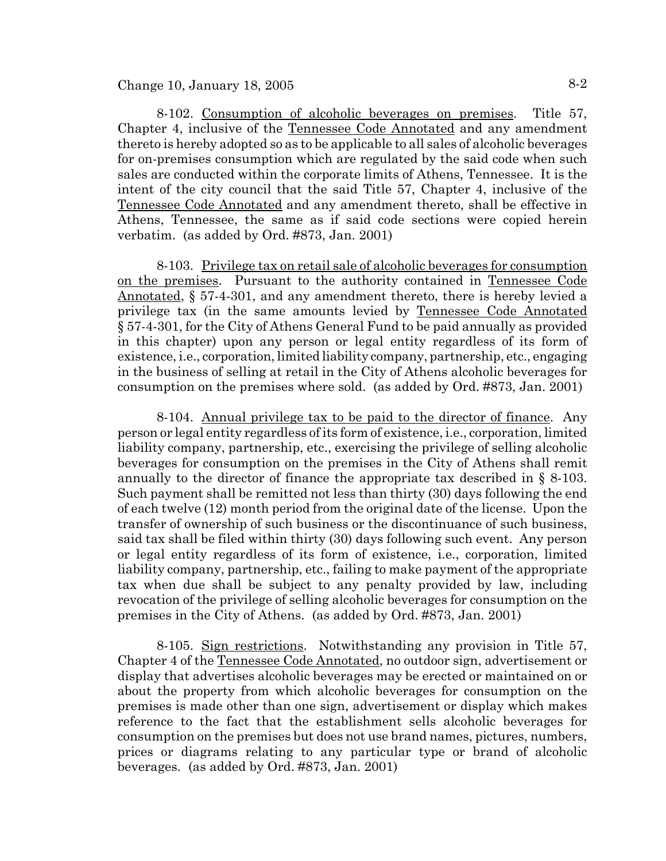# Change 10, January 18, 2005  $8-2$

8-102. Consumption of alcoholic beverages on premises. Title 57, Chapter 4, inclusive of the Tennessee Code Annotated and any amendment thereto is hereby adopted so as to be applicable to all sales of alcoholic beverages for on-premises consumption which are regulated by the said code when such sales are conducted within the corporate limits of Athens, Tennessee. It is the intent of the city council that the said Title 57, Chapter 4, inclusive of the Tennessee Code Annotated and any amendment thereto, shall be effective in Athens, Tennessee, the same as if said code sections were copied herein verbatim. (as added by Ord. #873, Jan. 2001)

8-103. Privilege tax on retail sale of alcoholic beverages for consumption on the premises. Pursuant to the authority contained in Tennessee Code Annotated, § 57-4-301, and any amendment thereto, there is hereby levied a privilege tax (in the same amounts levied by Tennessee Code Annotated § 57-4-301, for the City of Athens General Fund to be paid annually as provided in this chapter) upon any person or legal entity regardless of its form of existence, i.e., corporation, limited liability company, partnership, etc., engaging in the business of selling at retail in the City of Athens alcoholic beverages for consumption on the premises where sold. (as added by Ord. #873, Jan. 2001)

8-104. Annual privilege tax to be paid to the director of finance. Any person or legal entity regardless of its form of existence, i.e., corporation, limited liability company, partnership, etc., exercising the privilege of selling alcoholic beverages for consumption on the premises in the City of Athens shall remit annually to the director of finance the appropriate tax described in § 8-103. Such payment shall be remitted not less than thirty (30) days following the end of each twelve (12) month period from the original date of the license. Upon the transfer of ownership of such business or the discontinuance of such business, said tax shall be filed within thirty (30) days following such event. Any person or legal entity regardless of its form of existence, i.e., corporation, limited liability company, partnership, etc., failing to make payment of the appropriate tax when due shall be subject to any penalty provided by law, including revocation of the privilege of selling alcoholic beverages for consumption on the premises in the City of Athens. (as added by Ord. #873, Jan. 2001)

8-105. Sign restrictions. Notwithstanding any provision in Title 57, Chapter 4 of the Tennessee Code Annotated, no outdoor sign, advertisement or display that advertises alcoholic beverages may be erected or maintained on or about the property from which alcoholic beverages for consumption on the premises is made other than one sign, advertisement or display which makes reference to the fact that the establishment sells alcoholic beverages for consumption on the premises but does not use brand names, pictures, numbers, prices or diagrams relating to any particular type or brand of alcoholic beverages. (as added by Ord. #873, Jan. 2001)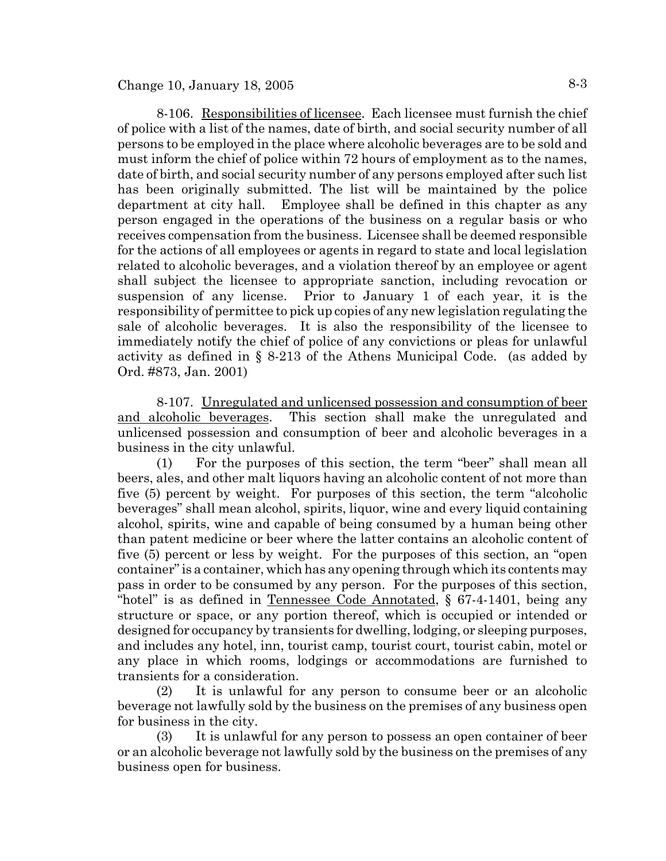8-106. Responsibilities of licensee. Each licensee must furnish the chief of police with a list of the names, date of birth, and social security number of all persons to be employed in the place where alcoholic beverages are to be sold and must inform the chief of police within 72 hours of employment as to the names, date of birth, and social security number of any persons employed after such list has been originally submitted. The list will be maintained by the police department at city hall. Employee shall be defined in this chapter as any person engaged in the operations of the business on a regular basis or who receives compensation from the business. Licensee shall be deemed responsible for the actions of all employees or agents in regard to state and local legislation related to alcoholic beverages, and a violation thereof by an employee or agent shall subject the licensee to appropriate sanction, including revocation or suspension of any license. Prior to January 1 of each year, it is the responsibility of permittee to pick up copies of any new legislation regulating the sale of alcoholic beverages. It is also the responsibility of the licensee to immediately notify the chief of police of any convictions or pleas for unlawful activity as defined in § 8-213 of the Athens Municipal Code. (as added by Ord. #873, Jan. 2001)

8-107. Unregulated and unlicensed possession and consumption of beer and alcoholic beverages. This section shall make the unregulated and unlicensed possession and consumption of beer and alcoholic beverages in a business in the city unlawful.

(1) For the purposes of this section, the term "beer" shall mean all beers, ales, and other malt liquors having an alcoholic content of not more than five (5) percent by weight. For purposes of this section, the term "alcoholic beverages" shall mean alcohol, spirits, liquor, wine and every liquid containing alcohol, spirits, wine and capable of being consumed by a human being other than patent medicine or beer where the latter contains an alcoholic content of five (5) percent or less by weight. For the purposes of this section, an "open container" is a container, which has any opening through which its contents may pass in order to be consumed by any person. For the purposes of this section, "hotel" is as defined in Tennessee Code Annotated, § 67-4-1401, being any structure or space, or any portion thereof, which is occupied or intended or designed for occupancy by transients for dwelling, lodging, or sleeping purposes, and includes any hotel, inn, tourist camp, tourist court, tourist cabin, motel or any place in which rooms, lodgings or accommodations are furnished to transients for a consideration.

(2) It is unlawful for any person to consume beer or an alcoholic beverage not lawfully sold by the business on the premises of any business open for business in the city.

(3) It is unlawful for any person to possess an open container of beer or an alcoholic beverage not lawfully sold by the business on the premises of any business open for business.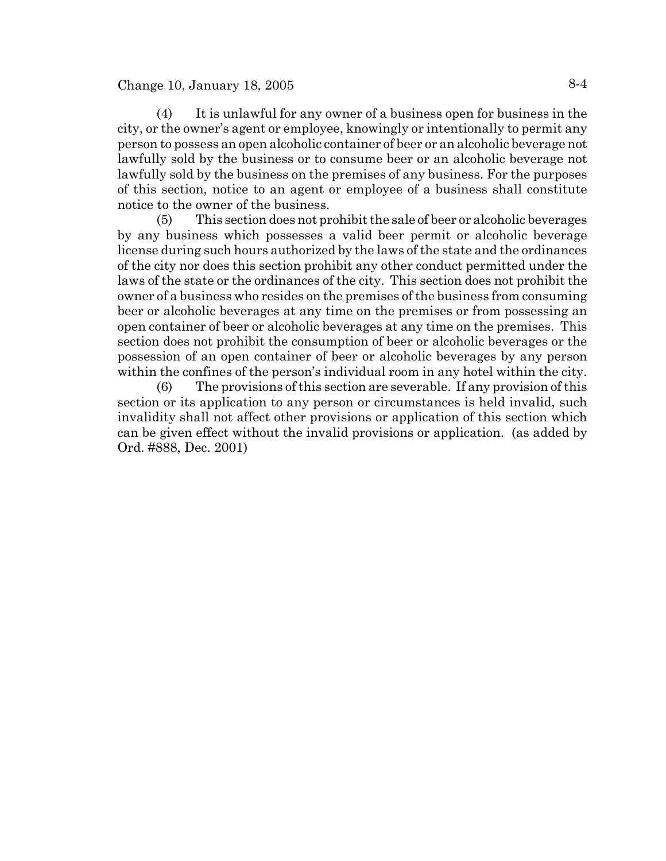# Change 10, January 18, 2005  $8-4$

(4) It is unlawful for any owner of a business open for business in the city, or the owner's agent or employee, knowingly or intentionally to permit any person to possess an open alcoholic container of beer or an alcoholic beverage not lawfully sold by the business or to consume beer or an alcoholic beverage not lawfully sold by the business on the premises of any business. For the purposes of this section, notice to an agent or employee of a business shall constitute notice to the owner of the business.

(5) This section does not prohibit the sale of beer or alcoholic beverages by any business which possesses a valid beer permit or alcoholic beverage license during such hours authorized by the laws of the state and the ordinances of the city nor does this section prohibit any other conduct permitted under the laws of the state or the ordinances of the city. This section does not prohibit the owner of a business who resides on the premises of the business from consuming beer or alcoholic beverages at any time on the premises or from possessing an open container of beer or alcoholic beverages at any time on the premises. This section does not prohibit the consumption of beer or alcoholic beverages or the possession of an open container of beer or alcoholic beverages by any person within the confines of the person's individual room in any hotel within the city.

(6) The provisions of this section are severable. If any provision of this section or its application to any person or circumstances is held invalid, such invalidity shall not affect other provisions or application of this section which can be given effect without the invalid provisions or application. (as added by Ord. #888, Dec. 2001)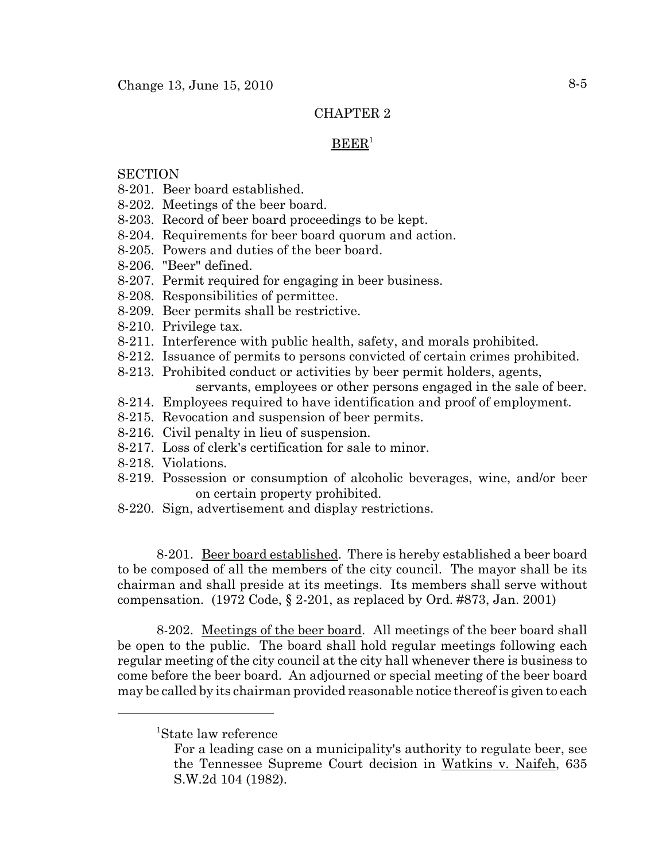# CHAPTER 2

### $BEER<sup>1</sup>$

## **SECTION**

- 8-201. Beer board established.
- 8-202. Meetings of the beer board.
- 8-203. Record of beer board proceedings to be kept.
- 8-204. Requirements for beer board quorum and action.
- 8-205. Powers and duties of the beer board.
- 8-206. "Beer" defined.
- 8-207. Permit required for engaging in beer business.
- 8-208. Responsibilities of permittee.
- 8-209. Beer permits shall be restrictive.
- 8-210. Privilege tax.
- 8-211. Interference with public health, safety, and morals prohibited.
- 8-212. Issuance of permits to persons convicted of certain crimes prohibited.
- 8-213. Prohibited conduct or activities by beer permit holders, agents, servants, employees or other persons engaged in the sale of beer.
- 8-214. Employees required to have identification and proof of employment.
- 8-215. Revocation and suspension of beer permits.
- 8-216. Civil penalty in lieu of suspension.
- 8-217. Loss of clerk's certification for sale to minor.
- 8-218. Violations.
- 8-219. Possession or consumption of alcoholic beverages, wine, and/or beer on certain property prohibited.
- 8-220. Sign, advertisement and display restrictions.

8-201. Beer board established. There is hereby established a beer board to be composed of all the members of the city council. The mayor shall be its chairman and shall preside at its meetings. Its members shall serve without compensation. (1972 Code,  $\S 2-201$ , as replaced by Ord. #873, Jan. 2001)

8-202. Meetings of the beer board. All meetings of the beer board shall be open to the public. The board shall hold regular meetings following each regular meeting of the city council at the city hall whenever there is business to come before the beer board. An adjourned or special meeting of the beer board may be called by its chairman provided reasonable notice thereof is given to each

<sup>1</sup> State law reference

For a leading case on a municipality's authority to regulate beer, see the Tennessee Supreme Court decision in Watkins v. Naifeh, 635 S.W.2d 104 (1982).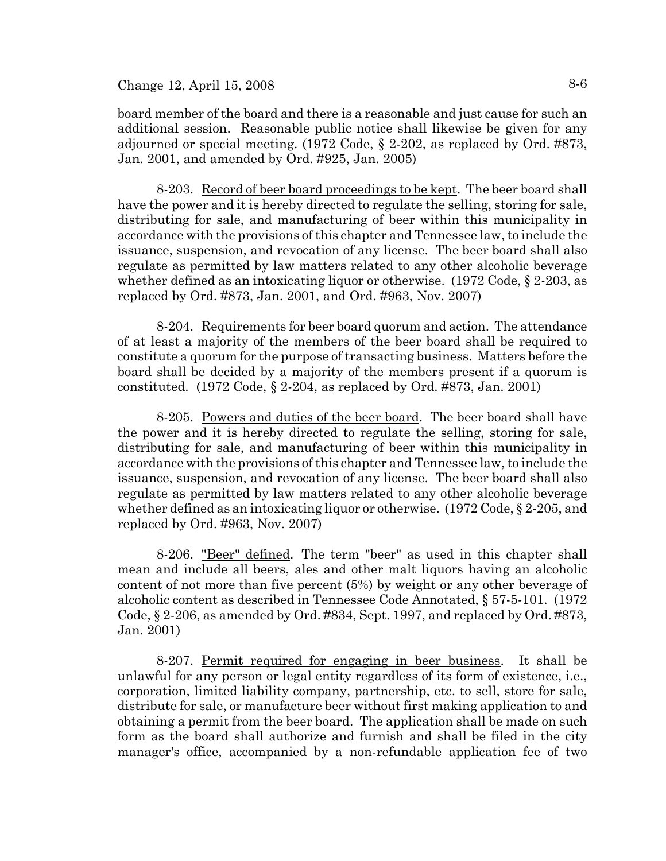board member of the board and there is a reasonable and just cause for such an additional session. Reasonable public notice shall likewise be given for any adjourned or special meeting. (1972 Code, § 2-202, as replaced by Ord. #873, Jan. 2001, and amended by Ord. #925, Jan. 2005)

8-203. Record of beer board proceedings to be kept. The beer board shall have the power and it is hereby directed to regulate the selling, storing for sale, distributing for sale, and manufacturing of beer within this municipality in accordance with the provisions of this chapter and Tennessee law, to include the issuance, suspension, and revocation of any license. The beer board shall also regulate as permitted by law matters related to any other alcoholic beverage whether defined as an intoxicating liquor or otherwise. (1972 Code, § 2-203, as replaced by Ord. #873, Jan. 2001, and Ord. #963, Nov. 2007)

8-204. Requirements for beer board quorum and action. The attendance of at least a majority of the members of the beer board shall be required to constitute a quorum for the purpose of transacting business. Matters before the board shall be decided by a majority of the members present if a quorum is constituted.  $(1972 \text{ Code}, \S 2-204, \text{ as replaced by Ord. } \#873, \text{ Jan. } 2001)$ 

8-205. Powers and duties of the beer board. The beer board shall have the power and it is hereby directed to regulate the selling, storing for sale, distributing for sale, and manufacturing of beer within this municipality in accordance with the provisions of this chapter and Tennessee law, to include the issuance, suspension, and revocation of any license. The beer board shall also regulate as permitted by law matters related to any other alcoholic beverage whether defined as an intoxicating liquor or otherwise. (1972 Code, § 2-205, and replaced by Ord. #963, Nov. 2007)

8-206. "Beer" defined. The term "beer" as used in this chapter shall mean and include all beers, ales and other malt liquors having an alcoholic content of not more than five percent (5%) by weight or any other beverage of alcoholic content as described in Tennessee Code Annotated, § 57-5-101. (1972 Code, § 2-206, as amended by Ord. #834, Sept. 1997, and replaced by Ord. #873, Jan. 2001)

8-207. Permit required for engaging in beer business. It shall be unlawful for any person or legal entity regardless of its form of existence, i.e., corporation, limited liability company, partnership, etc. to sell, store for sale, distribute for sale, or manufacture beer without first making application to and obtaining a permit from the beer board. The application shall be made on such form as the board shall authorize and furnish and shall be filed in the city manager's office, accompanied by a non-refundable application fee of two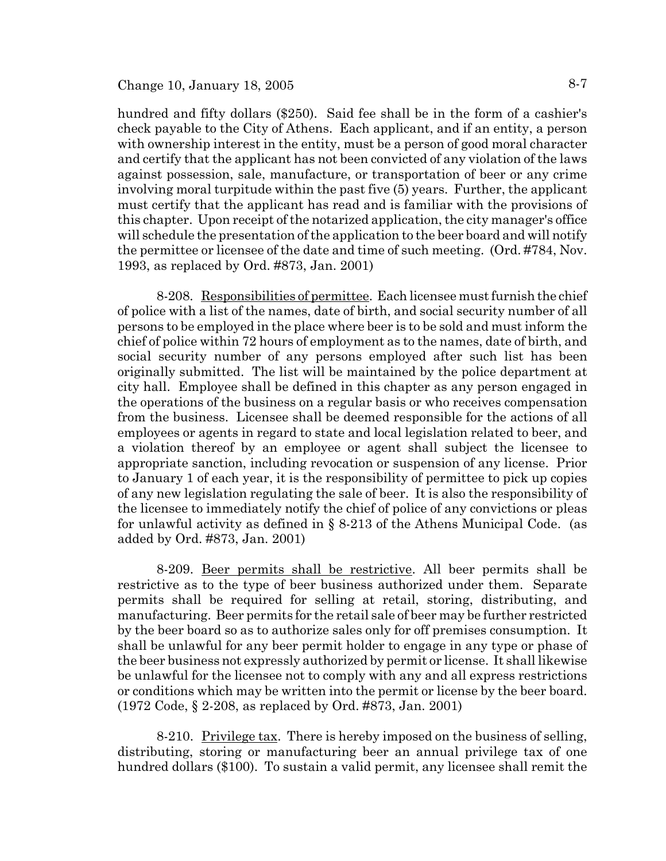## Change 10, January 18, 2005  $8-7$

hundred and fifty dollars (\$250). Said fee shall be in the form of a cashier's check payable to the City of Athens. Each applicant, and if an entity, a person with ownership interest in the entity, must be a person of good moral character and certify that the applicant has not been convicted of any violation of the laws against possession, sale, manufacture, or transportation of beer or any crime involving moral turpitude within the past five (5) years. Further, the applicant must certify that the applicant has read and is familiar with the provisions of this chapter. Upon receipt of the notarized application, the city manager's office will schedule the presentation of the application to the beer board and will notify the permittee or licensee of the date and time of such meeting. (Ord. #784, Nov. 1993, as replaced by Ord. #873, Jan. 2001)

8-208. Responsibilities of permittee. Each licensee must furnish the chief of police with a list of the names, date of birth, and social security number of all persons to be employed in the place where beer is to be sold and must inform the chief of police within 72 hours of employment as to the names, date of birth, and social security number of any persons employed after such list has been originally submitted. The list will be maintained by the police department at city hall. Employee shall be defined in this chapter as any person engaged in the operations of the business on a regular basis or who receives compensation from the business. Licensee shall be deemed responsible for the actions of all employees or agents in regard to state and local legislation related to beer, and a violation thereof by an employee or agent shall subject the licensee to appropriate sanction, including revocation or suspension of any license. Prior to January 1 of each year, it is the responsibility of permittee to pick up copies of any new legislation regulating the sale of beer. It is also the responsibility of the licensee to immediately notify the chief of police of any convictions or pleas for unlawful activity as defined in § 8-213 of the Athens Municipal Code. (as added by Ord. #873, Jan. 2001)

8-209. Beer permits shall be restrictive. All beer permits shall be restrictive as to the type of beer business authorized under them. Separate permits shall be required for selling at retail, storing, distributing, and manufacturing. Beer permits for the retail sale of beer may be further restricted by the beer board so as to authorize sales only for off premises consumption. It shall be unlawful for any beer permit holder to engage in any type or phase of the beer business not expressly authorized by permit or license. It shall likewise be unlawful for the licensee not to comply with any and all express restrictions or conditions which may be written into the permit or license by the beer board. (1972 Code, § 2-208, as replaced by Ord. #873, Jan. 2001)

8-210. Privilege tax. There is hereby imposed on the business of selling, distributing, storing or manufacturing beer an annual privilege tax of one hundred dollars (\$100). To sustain a valid permit, any licensee shall remit the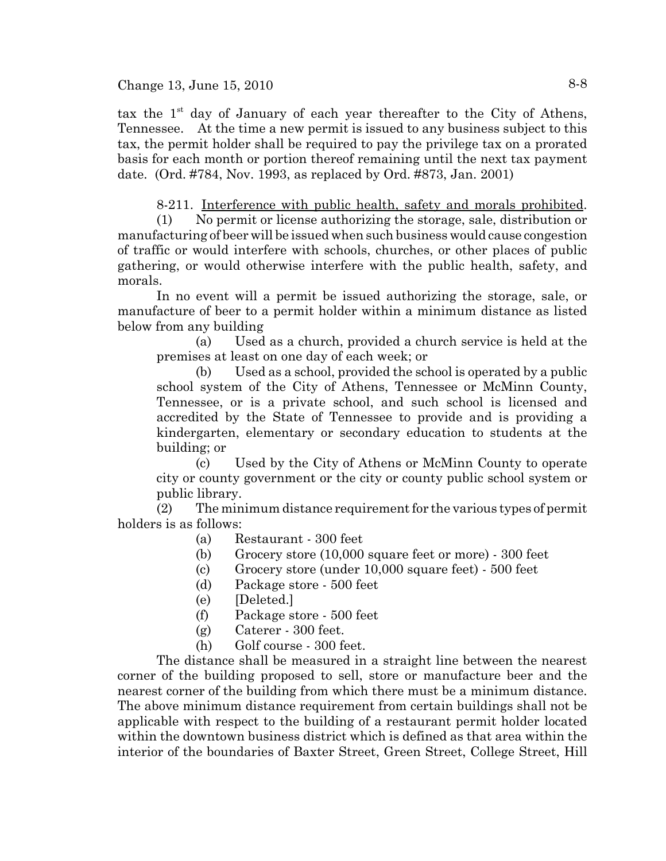tax the  $1<sup>st</sup>$  day of January of each year thereafter to the City of Athens, Tennessee. At the time a new permit is issued to any business subject to this tax, the permit holder shall be required to pay the privilege tax on a prorated basis for each month or portion thereof remaining until the next tax payment date. (Ord. #784, Nov. 1993, as replaced by Ord. #873, Jan. 2001)

8-211. Interference with public health, safety and morals prohibited.

(1) No permit or license authorizing the storage, sale, distribution or manufacturing of beer will be issued when such business would cause congestion of traffic or would interfere with schools, churches, or other places of public gathering, or would otherwise interfere with the public health, safety, and morals.

In no event will a permit be issued authorizing the storage, sale, or manufacture of beer to a permit holder within a minimum distance as listed below from any building

(a) Used as a church, provided a church service is held at the premises at least on one day of each week; or

(b) Used as a school, provided the school is operated by a public school system of the City of Athens, Tennessee or McMinn County, Tennessee, or is a private school, and such school is licensed and accredited by the State of Tennessee to provide and is providing a kindergarten, elementary or secondary education to students at the building; or

(c) Used by the City of Athens or McMinn County to operate city or county government or the city or county public school system or public library.

(2) The minimum distance requirement for the various types of permit holders is as follows:

- (a) Restaurant 300 feet
- (b) Grocery store (10,000 square feet or more) 300 feet
- $\text{G}$  Grocery store (under 10,000 square feet) 500 feet
- (d) Package store 500 feet
- (e) [Deleted.]
- (f) Package store 500 feet
- (g) Caterer 300 feet.
- (h) Golf course 300 feet.

The distance shall be measured in a straight line between the nearest corner of the building proposed to sell, store or manufacture beer and the nearest corner of the building from which there must be a minimum distance. The above minimum distance requirement from certain buildings shall not be applicable with respect to the building of a restaurant permit holder located within the downtown business district which is defined as that area within the interior of the boundaries of Baxter Street, Green Street, College Street, Hill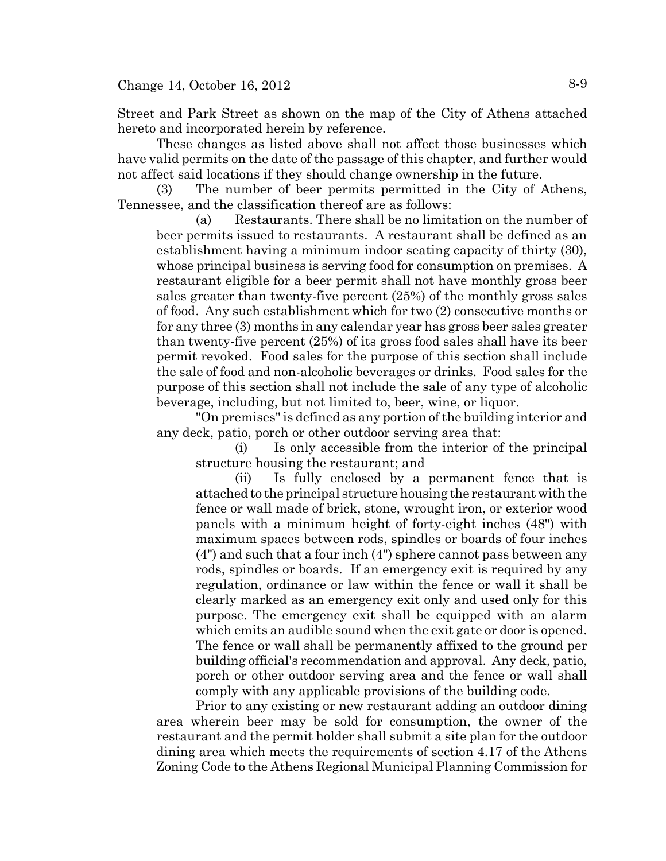Street and Park Street as shown on the map of the City of Athens attached hereto and incorporated herein by reference.

These changes as listed above shall not affect those businesses which have valid permits on the date of the passage of this chapter, and further would not affect said locations if they should change ownership in the future.

(3) The number of beer permits permitted in the City of Athens, Tennessee, and the classification thereof are as follows:

(a) Restaurants. There shall be no limitation on the number of beer permits issued to restaurants. A restaurant shall be defined as an establishment having a minimum indoor seating capacity of thirty (30), whose principal business is serving food for consumption on premises. A restaurant eligible for a beer permit shall not have monthly gross beer sales greater than twenty-five percent (25%) of the monthly gross sales of food. Any such establishment which for two (2) consecutive months or for any three (3) months in any calendar year has gross beer sales greater than twenty-five percent (25%) of its gross food sales shall have its beer permit revoked. Food sales for the purpose of this section shall include the sale of food and non-alcoholic beverages or drinks. Food sales for the purpose of this section shall not include the sale of any type of alcoholic beverage, including, but not limited to, beer, wine, or liquor.

"On premises" is defined as any portion of the building interior and any deck, patio, porch or other outdoor serving area that:

(i) Is only accessible from the interior of the principal structure housing the restaurant; and

(ii) Is fully enclosed by a permanent fence that is attached to the principal structure housing the restaurant with the fence or wall made of brick, stone, wrought iron, or exterior wood panels with a minimum height of forty-eight inches (48") with maximum spaces between rods, spindles or boards of four inches (4") and such that a four inch (4") sphere cannot pass between any rods, spindles or boards. If an emergency exit is required by any regulation, ordinance or law within the fence or wall it shall be clearly marked as an emergency exit only and used only for this purpose. The emergency exit shall be equipped with an alarm which emits an audible sound when the exit gate or door is opened. The fence or wall shall be permanently affixed to the ground per building official's recommendation and approval. Any deck, patio, porch or other outdoor serving area and the fence or wall shall comply with any applicable provisions of the building code.

Prior to any existing or new restaurant adding an outdoor dining area wherein beer may be sold for consumption, the owner of the restaurant and the permit holder shall submit a site plan for the outdoor dining area which meets the requirements of section 4.17 of the Athens Zoning Code to the Athens Regional Municipal Planning Commission for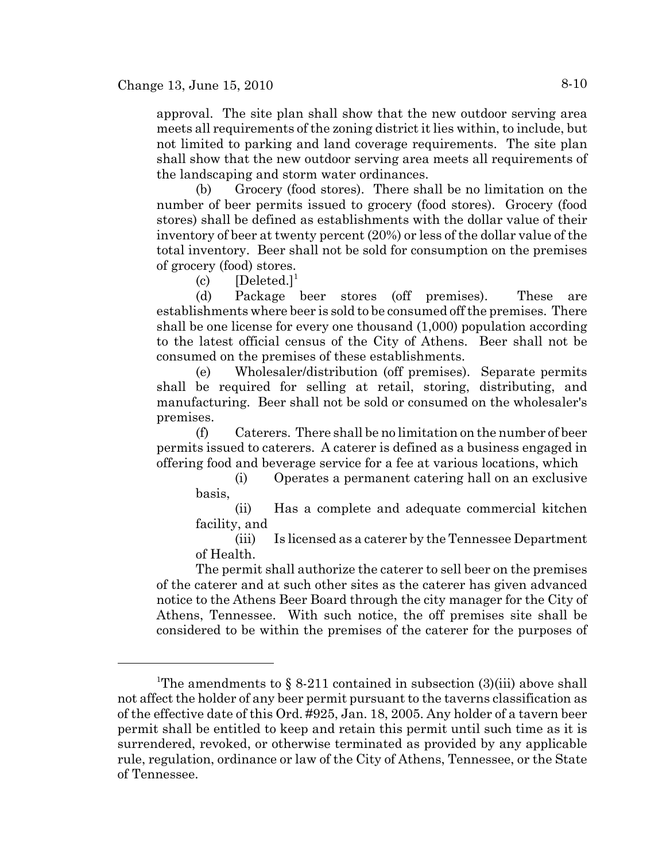approval. The site plan shall show that the new outdoor serving area meets all requirements of the zoning district it lies within, to include, but not limited to parking and land coverage requirements. The site plan shall show that the new outdoor serving area meets all requirements of the landscaping and storm water ordinances.

(b) Grocery (food stores). There shall be no limitation on the number of beer permits issued to grocery (food stores). Grocery (food stores) shall be defined as establishments with the dollar value of their inventory of beer at twenty percent (20%) or less of the dollar value of the total inventory. Beer shall not be sold for consumption on the premises of grocery (food) stores.

 $(c)$  [Deleted.]<sup>1</sup>

(d) Package beer stores (off premises). These are establishments where beer is sold to be consumed off the premises. There shall be one license for every one thousand (1,000) population according to the latest official census of the City of Athens. Beer shall not be consumed on the premises of these establishments.

(e) Wholesaler/distribution (off premises). Separate permits shall be required for selling at retail, storing, distributing, and manufacturing. Beer shall not be sold or consumed on the wholesaler's premises.

(f) Caterers. There shall be no limitation on the number of beer permits issued to caterers. A caterer is defined as a business engaged in offering food and beverage service for a fee at various locations, which

(i) Operates a permanent catering hall on an exclusive basis,

(ii) Has a complete and adequate commercial kitchen facility, and

(iii) Is licensed as a caterer by the Tennessee Department of Health.

The permit shall authorize the caterer to sell beer on the premises of the caterer and at such other sites as the caterer has given advanced notice to the Athens Beer Board through the city manager for the City of Athens, Tennessee. With such notice, the off premises site shall be considered to be within the premises of the caterer for the purposes of

<sup>&</sup>lt;sup>1</sup>The amendments to § 8-211 contained in subsection  $(3)(iii)$  above shall not affect the holder of any beer permit pursuant to the taverns classification as of the effective date of this Ord. #925, Jan. 18, 2005. Any holder of a tavern beer permit shall be entitled to keep and retain this permit until such time as it is surrendered, revoked, or otherwise terminated as provided by any applicable rule, regulation, ordinance or law of the City of Athens, Tennessee, or the State of Tennessee.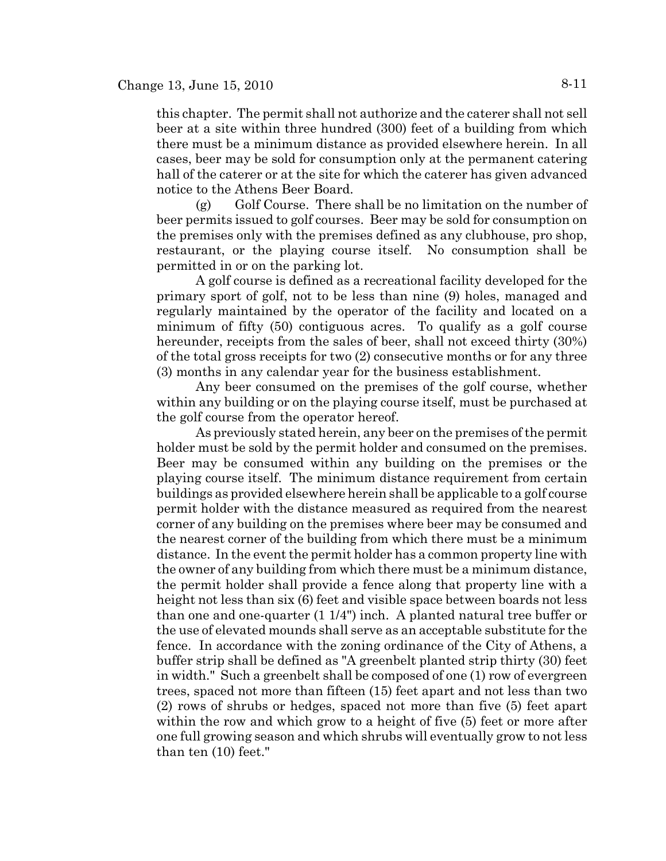this chapter. The permit shall not authorize and the caterer shall not sell beer at a site within three hundred (300) feet of a building from which there must be a minimum distance as provided elsewhere herein. In all cases, beer may be sold for consumption only at the permanent catering hall of the caterer or at the site for which the caterer has given advanced notice to the Athens Beer Board.

 $(g)$  Golf Course. There shall be no limitation on the number of beer permits issued to golf courses. Beer may be sold for consumption on the premises only with the premises defined as any clubhouse, pro shop, restaurant, or the playing course itself. No consumption shall be permitted in or on the parking lot.

A golf course is defined as a recreational facility developed for the primary sport of golf, not to be less than nine (9) holes, managed and regularly maintained by the operator of the facility and located on a minimum of fifty (50) contiguous acres. To qualify as a golf course hereunder, receipts from the sales of beer, shall not exceed thirty (30%) of the total gross receipts for two (2) consecutive months or for any three (3) months in any calendar year for the business establishment.

Any beer consumed on the premises of the golf course, whether within any building or on the playing course itself, must be purchased at the golf course from the operator hereof.

As previously stated herein, any beer on the premises of the permit holder must be sold by the permit holder and consumed on the premises. Beer may be consumed within any building on the premises or the playing course itself. The minimum distance requirement from certain buildings as provided elsewhere herein shall be applicable to a golf course permit holder with the distance measured as required from the nearest corner of any building on the premises where beer may be consumed and the nearest corner of the building from which there must be a minimum distance. In the event the permit holder has a common property line with the owner of any building from which there must be a minimum distance, the permit holder shall provide a fence along that property line with a height not less than six (6) feet and visible space between boards not less than one and one-quarter (1 1/4") inch. A planted natural tree buffer or the use of elevated mounds shall serve as an acceptable substitute for the fence. In accordance with the zoning ordinance of the City of Athens, a buffer strip shall be defined as "A greenbelt planted strip thirty (30) feet in width." Such a greenbelt shall be composed of one (1) row of evergreen trees, spaced not more than fifteen (15) feet apart and not less than two (2) rows of shrubs or hedges, spaced not more than five (5) feet apart within the row and which grow to a height of five (5) feet or more after one full growing season and which shrubs will eventually grow to not less than ten (10) feet."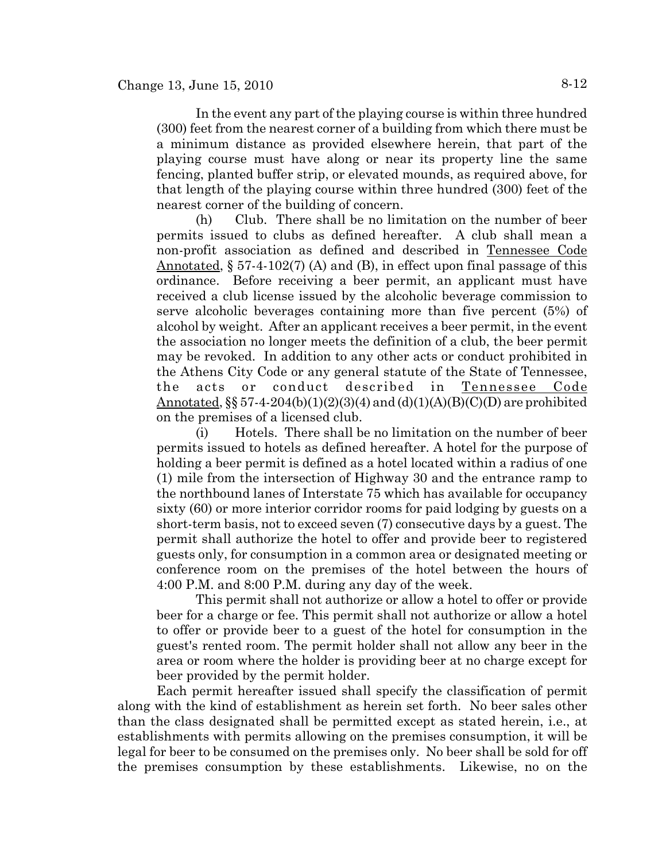In the event any part of the playing course is within three hundred (300) feet from the nearest corner of a building from which there must be a minimum distance as provided elsewhere herein, that part of the playing course must have along or near its property line the same fencing, planted buffer strip, or elevated mounds, as required above, for that length of the playing course within three hundred (300) feet of the nearest corner of the building of concern.

(h) Club. There shall be no limitation on the number of beer permits issued to clubs as defined hereafter. A club shall mean a non-profit association as defined and described in Tennessee Code Annotated,  $\S 57-4-102(7)$  (A) and (B), in effect upon final passage of this ordinance. Before receiving a beer permit, an applicant must have received a club license issued by the alcoholic beverage commission to serve alcoholic beverages containing more than five percent (5%) of alcohol by weight. After an applicant receives a beer permit, in the event the association no longer meets the definition of a club, the beer permit may be revoked. In addition to any other acts or conduct prohibited in the Athens City Code or any general statute of the State of Tennessee, the acts or conduct described in Tennessee Code Annotated,  $\S$ § 57-4-204(b)(1)(2)(3)(4) and (d)(1)(A)(B)(C)(D) are prohibited on the premises of a licensed club.

(i) Hotels. There shall be no limitation on the number of beer permits issued to hotels as defined hereafter. A hotel for the purpose of holding a beer permit is defined as a hotel located within a radius of one (1) mile from the intersection of Highway 30 and the entrance ramp to the northbound lanes of Interstate 75 which has available for occupancy sixty (60) or more interior corridor rooms for paid lodging by guests on a short-term basis, not to exceed seven (7) consecutive days by a guest. The permit shall authorize the hotel to offer and provide beer to registered guests only, for consumption in a common area or designated meeting or conference room on the premises of the hotel between the hours of 4:00 P.M. and 8:00 P.M. during any day of the week.

This permit shall not authorize or allow a hotel to offer or provide beer for a charge or fee. This permit shall not authorize or allow a hotel to offer or provide beer to a guest of the hotel for consumption in the guest's rented room. The permit holder shall not allow any beer in the area or room where the holder is providing beer at no charge except for beer provided by the permit holder.

Each permit hereafter issued shall specify the classification of permit along with the kind of establishment as herein set forth. No beer sales other than the class designated shall be permitted except as stated herein, i.e., at establishments with permits allowing on the premises consumption, it will be legal for beer to be consumed on the premises only. No beer shall be sold for off the premises consumption by these establishments. Likewise, no on the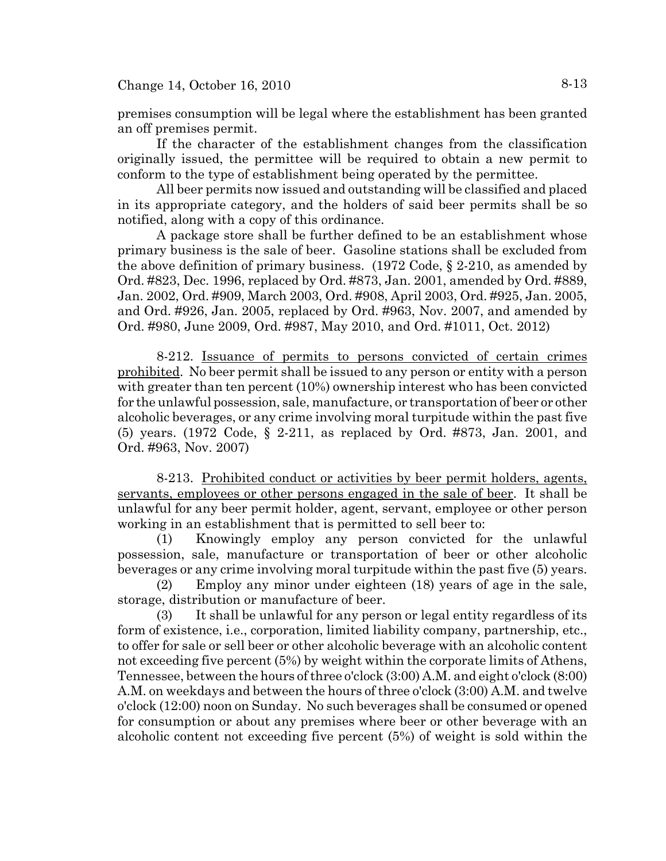premises consumption will be legal where the establishment has been granted an off premises permit.

If the character of the establishment changes from the classification originally issued, the permittee will be required to obtain a new permit to conform to the type of establishment being operated by the permittee.

All beer permits now issued and outstanding will be classified and placed in its appropriate category, and the holders of said beer permits shall be so notified, along with a copy of this ordinance.

A package store shall be further defined to be an establishment whose primary business is the sale of beer. Gasoline stations shall be excluded from the above definition of primary business. (1972 Code, § 2-210, as amended by Ord. #823, Dec. 1996, replaced by Ord. #873, Jan. 2001, amended by Ord. #889, Jan. 2002, Ord. #909, March 2003, Ord. #908, April 2003, Ord. #925, Jan. 2005, and Ord. #926, Jan. 2005, replaced by Ord. #963, Nov. 2007, and amended by Ord. #980, June 2009, Ord. #987, May 2010, and Ord. #1011, Oct. 2012)

8-212. Issuance of permits to persons convicted of certain crimes prohibited. No beer permit shall be issued to any person or entity with a person with greater than ten percent (10%) ownership interest who has been convicted for the unlawful possession, sale, manufacture, or transportation of beer or other alcoholic beverages, or any crime involving moral turpitude within the past five (5) years. (1972 Code, § 2-211, as replaced by Ord. #873, Jan. 2001, and Ord. #963, Nov. 2007)

8-213. Prohibited conduct or activities by beer permit holders, agents, servants, employees or other persons engaged in the sale of beer. It shall be unlawful for any beer permit holder, agent, servant, employee or other person working in an establishment that is permitted to sell beer to:

(1) Knowingly employ any person convicted for the unlawful possession, sale, manufacture or transportation of beer or other alcoholic beverages or any crime involving moral turpitude within the past five (5) years.

(2) Employ any minor under eighteen (18) years of age in the sale, storage, distribution or manufacture of beer.

(3) It shall be unlawful for any person or legal entity regardless of its form of existence, i.e., corporation, limited liability company, partnership, etc., to offer for sale or sell beer or other alcoholic beverage with an alcoholic content not exceeding five percent (5%) by weight within the corporate limits of Athens, Tennessee, between the hours of three o'clock (3:00) A.M. and eight o'clock (8:00) A.M. on weekdays and between the hours of three o'clock (3:00) A.M. and twelve o'clock (12:00) noon on Sunday. No such beverages shall be consumed or opened for consumption or about any premises where beer or other beverage with an alcoholic content not exceeding five percent (5%) of weight is sold within the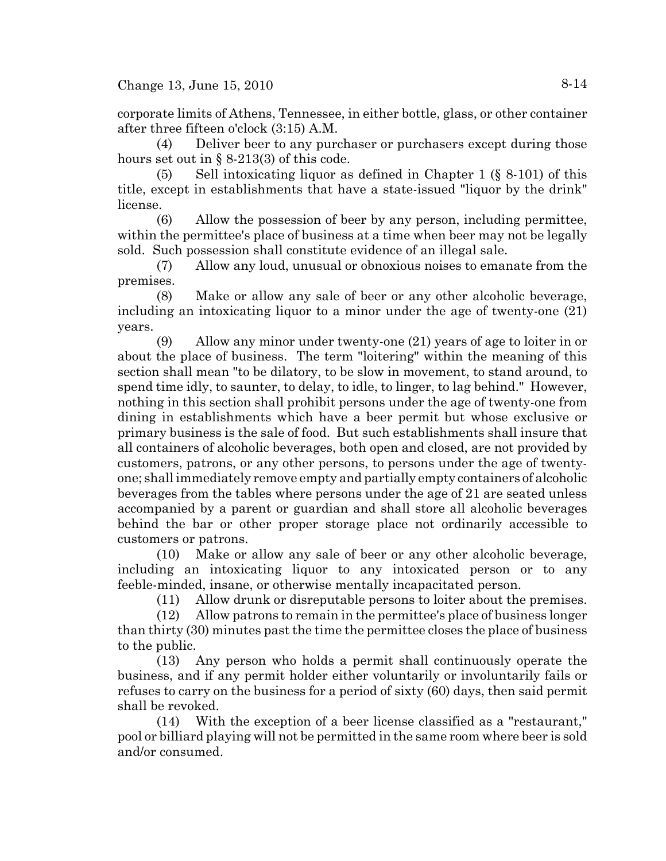corporate limits of Athens, Tennessee, in either bottle, glass, or other container after three fifteen o'clock (3:15) A.M.

(4) Deliver beer to any purchaser or purchasers except during those hours set out in  $\S 8-213(3)$  of this code.

(5) Sell intoxicating liquor as defined in Chapter 1 (§ 8-101) of this title, except in establishments that have a state-issued "liquor by the drink" license.

(6) Allow the possession of beer by any person, including permittee, within the permittee's place of business at a time when beer may not be legally sold. Such possession shall constitute evidence of an illegal sale.

(7) Allow any loud, unusual or obnoxious noises to emanate from the premises.

(8) Make or allow any sale of beer or any other alcoholic beverage, including an intoxicating liquor to a minor under the age of twenty-one (21) years.

(9) Allow any minor under twenty-one (21) years of age to loiter in or about the place of business. The term "loitering" within the meaning of this section shall mean "to be dilatory, to be slow in movement, to stand around, to spend time idly, to saunter, to delay, to idle, to linger, to lag behind." However, nothing in this section shall prohibit persons under the age of twenty-one from dining in establishments which have a beer permit but whose exclusive or primary business is the sale of food. But such establishments shall insure that all containers of alcoholic beverages, both open and closed, are not provided by customers, patrons, or any other persons, to persons under the age of twentyone; shall immediately remove empty and partially empty containers of alcoholic beverages from the tables where persons under the age of 21 are seated unless accompanied by a parent or guardian and shall store all alcoholic beverages behind the bar or other proper storage place not ordinarily accessible to customers or patrons.

(10) Make or allow any sale of beer or any other alcoholic beverage, including an intoxicating liquor to any intoxicated person or to any feeble-minded, insane, or otherwise mentally incapacitated person.

(11) Allow drunk or disreputable persons to loiter about the premises.

(12) Allow patrons to remain in the permittee's place of business longer than thirty (30) minutes past the time the permittee closes the place of business to the public.

(13) Any person who holds a permit shall continuously operate the business, and if any permit holder either voluntarily or involuntarily fails or refuses to carry on the business for a period of sixty (60) days, then said permit shall be revoked.

(14) With the exception of a beer license classified as a "restaurant," pool or billiard playing will not be permitted in the same room where beer is sold and/or consumed.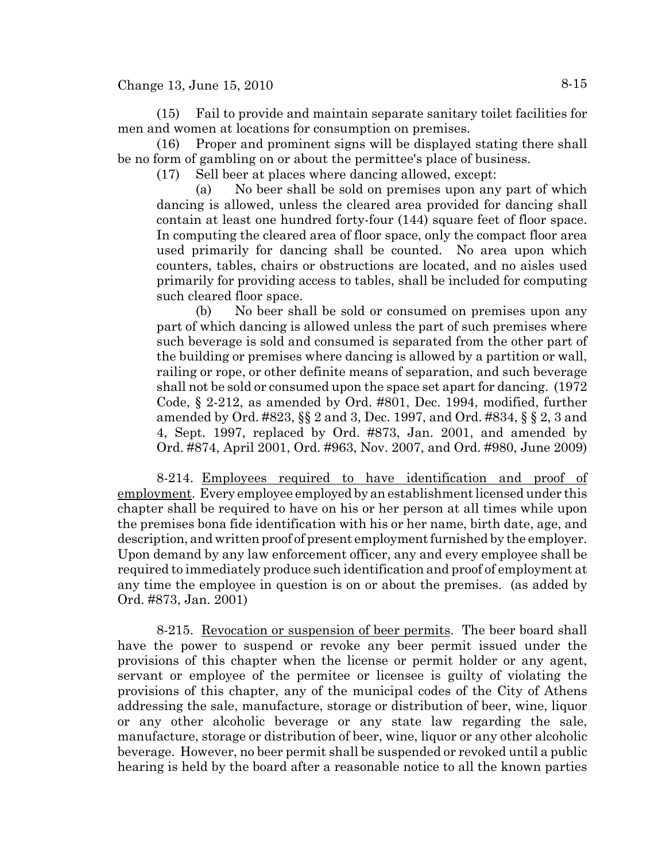Change 13, June 15, 2010 8-15

(15) Fail to provide and maintain separate sanitary toilet facilities for men and women at locations for consumption on premises.

(16) Proper and prominent signs will be displayed stating there shall be no form of gambling on or about the permittee's place of business.

(17) Sell beer at places where dancing allowed, except:

(a) No beer shall be sold on premises upon any part of which dancing is allowed, unless the cleared area provided for dancing shall contain at least one hundred forty-four (144) square feet of floor space. In computing the cleared area of floor space, only the compact floor area used primarily for dancing shall be counted. No area upon which counters, tables, chairs or obstructions are located, and no aisles used primarily for providing access to tables, shall be included for computing such cleared floor space.

(b) No beer shall be sold or consumed on premises upon any part of which dancing is allowed unless the part of such premises where such beverage is sold and consumed is separated from the other part of the building or premises where dancing is allowed by a partition or wall, railing or rope, or other definite means of separation, and such beverage shall not be sold or consumed upon the space set apart for dancing. (1972 Code, § 2-212, as amended by Ord. #801, Dec. 1994, modified, further amended by Ord. #823, §§ 2 and 3, Dec. 1997, and Ord. #834, § § 2, 3 and 4, Sept. 1997, replaced by Ord. #873, Jan. 2001, and amended by Ord. #874, April 2001, Ord. #963, Nov. 2007, and Ord. #980, June 2009)

8-214. Employees required to have identification and proof of employment. Every employee employed by an establishment licensed under this chapter shall be required to have on his or her person at all times while upon the premises bona fide identification with his or her name, birth date, age, and description, and written proof of present employment furnished by the employer. Upon demand by any law enforcement officer, any and every employee shall be required to immediately produce such identification and proof of employment at any time the employee in question is on or about the premises. (as added by Ord. #873, Jan. 2001)

8-215. Revocation or suspension of beer permits. The beer board shall have the power to suspend or revoke any beer permit issued under the provisions of this chapter when the license or permit holder or any agent, servant or employee of the permitee or licensee is guilty of violating the provisions of this chapter, any of the municipal codes of the City of Athens addressing the sale, manufacture, storage or distribution of beer, wine, liquor or any other alcoholic beverage or any state law regarding the sale, manufacture, storage or distribution of beer, wine, liquor or any other alcoholic beverage. However, no beer permit shall be suspended or revoked until a public hearing is held by the board after a reasonable notice to all the known parties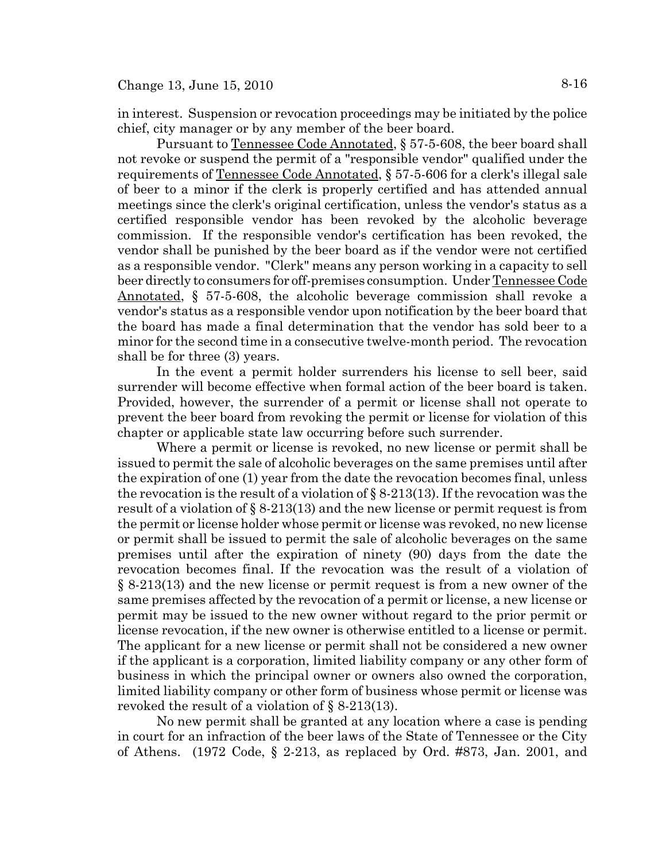in interest. Suspension or revocation proceedings may be initiated by the police chief, city manager or by any member of the beer board.

Pursuant to Tennessee Code Annotated, § 57-5-608, the beer board shall not revoke or suspend the permit of a "responsible vendor" qualified under the requirements of Tennessee Code Annotated, § 57-5-606 for a clerk's illegal sale of beer to a minor if the clerk is properly certified and has attended annual meetings since the clerk's original certification, unless the vendor's status as a certified responsible vendor has been revoked by the alcoholic beverage commission. If the responsible vendor's certification has been revoked, the vendor shall be punished by the beer board as if the vendor were not certified as a responsible vendor. "Clerk" means any person working in a capacity to sell beer directly to consumers for off-premises consumption. Under Tennessee Code Annotated, § 57-5-608, the alcoholic beverage commission shall revoke a vendor's status as a responsible vendor upon notification by the beer board that the board has made a final determination that the vendor has sold beer to a minor for the second time in a consecutive twelve-month period. The revocation shall be for three (3) years.

In the event a permit holder surrenders his license to sell beer, said surrender will become effective when formal action of the beer board is taken. Provided, however, the surrender of a permit or license shall not operate to prevent the beer board from revoking the permit or license for violation of this chapter or applicable state law occurring before such surrender.

Where a permit or license is revoked, no new license or permit shall be issued to permit the sale of alcoholic beverages on the same premises until after the expiration of one (1) year from the date the revocation becomes final, unless the revocation is the result of a violation of  $\S 8-213(13)$ . If the revocation was the result of a violation of § 8-213(13) and the new license or permit request is from the permit or license holder whose permit or license was revoked, no new license or permit shall be issued to permit the sale of alcoholic beverages on the same premises until after the expiration of ninety (90) days from the date the revocation becomes final. If the revocation was the result of a violation of § 8-213(13) and the new license or permit request is from a new owner of the same premises affected by the revocation of a permit or license, a new license or permit may be issued to the new owner without regard to the prior permit or license revocation, if the new owner is otherwise entitled to a license or permit. The applicant for a new license or permit shall not be considered a new owner if the applicant is a corporation, limited liability company or any other form of business in which the principal owner or owners also owned the corporation, limited liability company or other form of business whose permit or license was revoked the result of a violation of § 8-213(13).

No new permit shall be granted at any location where a case is pending in court for an infraction of the beer laws of the State of Tennessee or the City of Athens. (1972 Code, § 2-213, as replaced by Ord. #873, Jan. 2001, and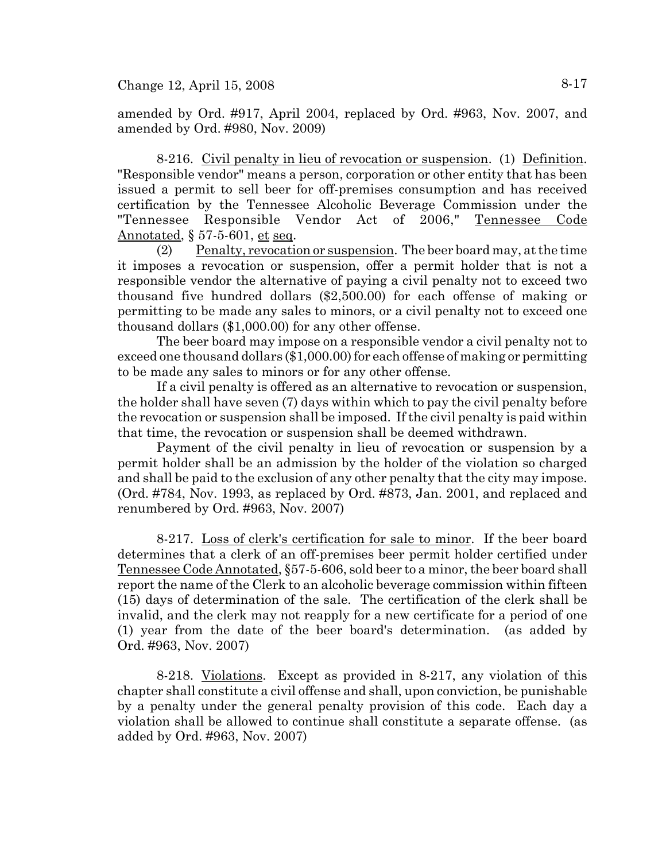amended by Ord. #917, April 2004, replaced by Ord. #963, Nov. 2007, and amended by Ord. #980, Nov. 2009)

8-216. Civil penalty in lieu of revocation or suspension. (1) Definition. "Responsible vendor" means a person, corporation or other entity that has been issued a permit to sell beer for off-premises consumption and has received certification by the Tennessee Alcoholic Beverage Commission under the "Tennessee Responsible Vendor Act of 2006," Tennessee Code Annotated, § 57-5-601, et seq.

(2) Penalty, revocation or suspension. The beer board may, at the time it imposes a revocation or suspension, offer a permit holder that is not a responsible vendor the alternative of paying a civil penalty not to exceed two thousand five hundred dollars (\$2,500.00) for each offense of making or permitting to be made any sales to minors, or a civil penalty not to exceed one thousand dollars (\$1,000.00) for any other offense.

The beer board may impose on a responsible vendor a civil penalty not to exceed one thousand dollars (\$1,000.00) for each offense of making or permitting to be made any sales to minors or for any other offense.

If a civil penalty is offered as an alternative to revocation or suspension, the holder shall have seven (7) days within which to pay the civil penalty before the revocation or suspension shall be imposed. If the civil penalty is paid within that time, the revocation or suspension shall be deemed withdrawn.

Payment of the civil penalty in lieu of revocation or suspension by a permit holder shall be an admission by the holder of the violation so charged and shall be paid to the exclusion of any other penalty that the city may impose. (Ord. #784, Nov. 1993, as replaced by Ord. #873, Jan. 2001, and replaced and renumbered by Ord. #963, Nov. 2007)

8-217. Loss of clerk's certification for sale to minor. If the beer board determines that a clerk of an off-premises beer permit holder certified under Tennessee Code Annotated, §57-5-606, sold beer to a minor, the beer board shall report the name of the Clerk to an alcoholic beverage commission within fifteen (15) days of determination of the sale. The certification of the clerk shall be invalid, and the clerk may not reapply for a new certificate for a period of one (1) year from the date of the beer board's determination. (as added by Ord. #963, Nov. 2007)

8-218. Violations. Except as provided in 8-217, any violation of this chapter shall constitute a civil offense and shall, upon conviction, be punishable by a penalty under the general penalty provision of this code. Each day a violation shall be allowed to continue shall constitute a separate offense. (as added by Ord. #963, Nov. 2007)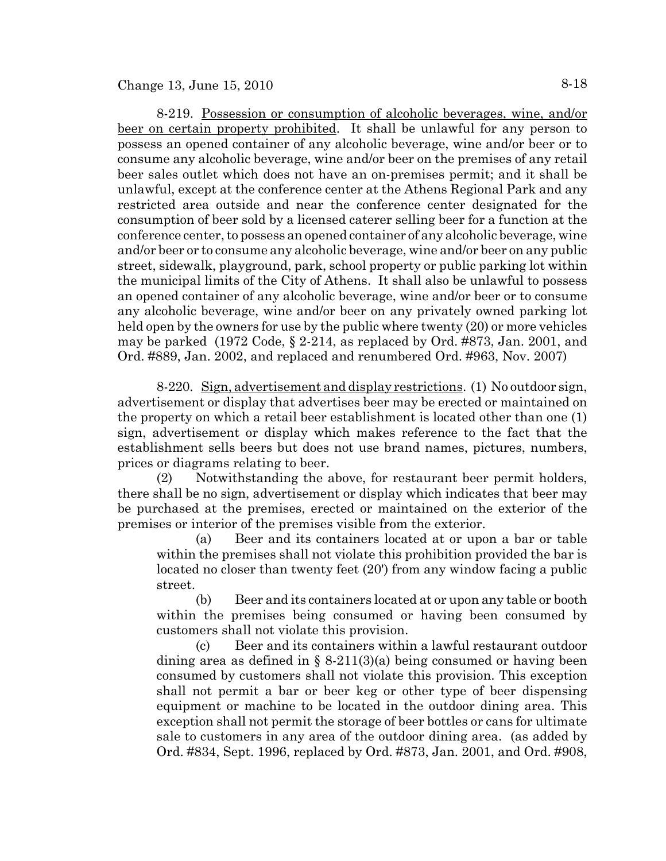8-219. Possession or consumption of alcoholic beverages, wine, and/or beer on certain property prohibited. It shall be unlawful for any person to possess an opened container of any alcoholic beverage, wine and/or beer or to consume any alcoholic beverage, wine and/or beer on the premises of any retail beer sales outlet which does not have an on-premises permit; and it shall be unlawful, except at the conference center at the Athens Regional Park and any restricted area outside and near the conference center designated for the consumption of beer sold by a licensed caterer selling beer for a function at the conference center, to possess an opened container of any alcoholic beverage, wine and/or beer or to consume any alcoholic beverage, wine and/or beer on any public street, sidewalk, playground, park, school property or public parking lot within the municipal limits of the City of Athens. It shall also be unlawful to possess an opened container of any alcoholic beverage, wine and/or beer or to consume any alcoholic beverage, wine and/or beer on any privately owned parking lot held open by the owners for use by the public where twenty (20) or more vehicles may be parked (1972 Code, § 2-214, as replaced by Ord. #873, Jan. 2001, and Ord. #889, Jan. 2002, and replaced and renumbered Ord. #963, Nov. 2007)

8-220. Sign, advertisement and display restrictions. (1) No outdoor sign, advertisement or display that advertises beer may be erected or maintained on the property on which a retail beer establishment is located other than one (1) sign, advertisement or display which makes reference to the fact that the establishment sells beers but does not use brand names, pictures, numbers, prices or diagrams relating to beer.

(2) Notwithstanding the above, for restaurant beer permit holders, there shall be no sign, advertisement or display which indicates that beer may be purchased at the premises, erected or maintained on the exterior of the premises or interior of the premises visible from the exterior.

(a) Beer and its containers located at or upon a bar or table within the premises shall not violate this prohibition provided the bar is located no closer than twenty feet (20') from any window facing a public street.

(b) Beer and its containers located at or upon any table or booth within the premises being consumed or having been consumed by customers shall not violate this provision.

(c) Beer and its containers within a lawful restaurant outdoor dining area as defined in  $\S$  8-211(3)(a) being consumed or having been consumed by customers shall not violate this provision. This exception shall not permit a bar or beer keg or other type of beer dispensing equipment or machine to be located in the outdoor dining area. This exception shall not permit the storage of beer bottles or cans for ultimate sale to customers in any area of the outdoor dining area. (as added by Ord. #834, Sept. 1996, replaced by Ord. #873, Jan. 2001, and Ord. #908,